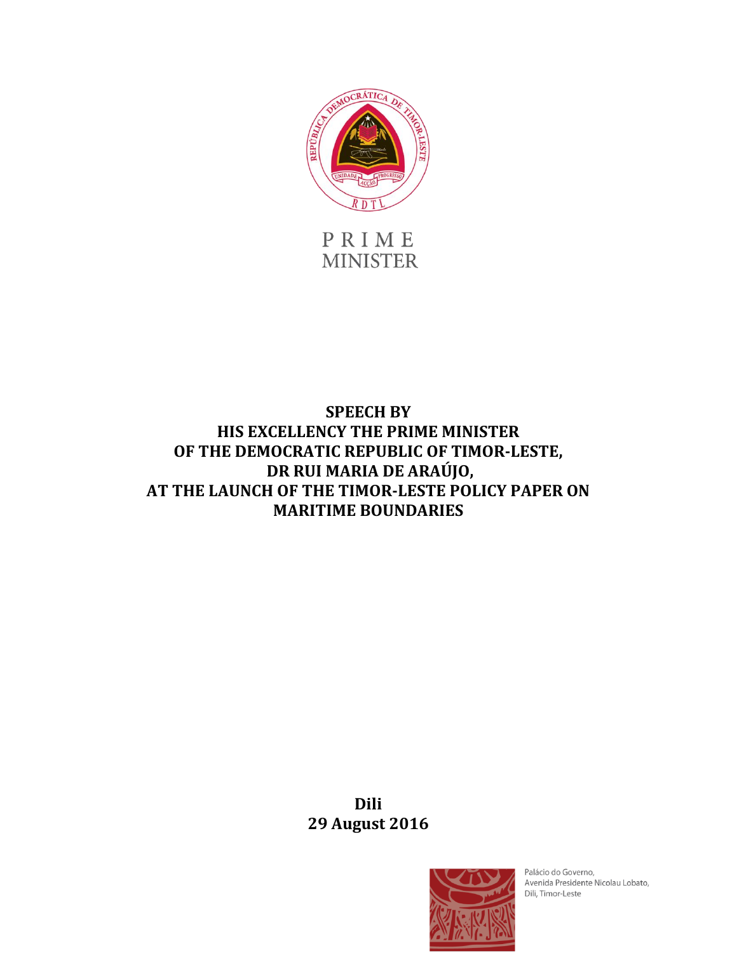

PRIME **MINISTER** 

## **SPEECH BY HIS EXCELLENCY THE PRIME MINISTER OF THE DEMOCRATIC REPUBLIC OF TIMOR-LESTE, DR RUI MARIA DE ARAÚJO, AT THE LAUNCH OF THE TIMOR-LESTE POLICY PAPER ON MARITIME BOUNDARIES**

**Dili 29 August 2016**



Palácio do Governo, Avenida Presidente Nicolau Lobato, Dili, Timor-Leste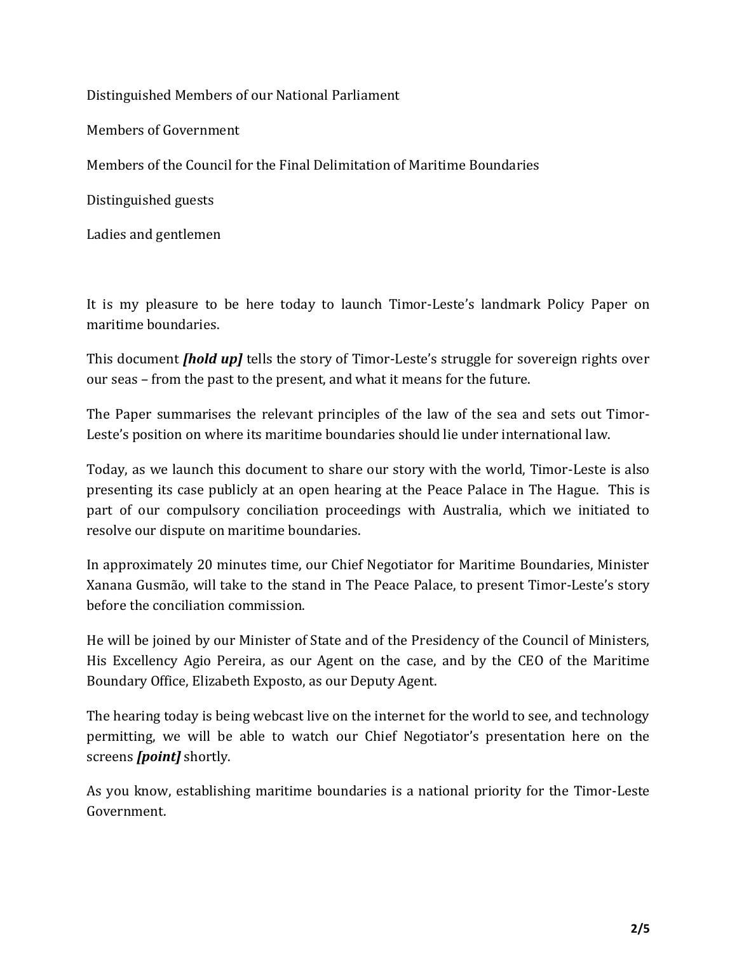Distinguished Members of our National Parliament

Members of Government

Members of the Council for the Final Delimitation of Maritime Boundaries

Distinguished guests

Ladies and gentlemen

It is my pleasure to be here today to launch Timor-Leste's landmark Policy Paper on maritime boundaries.

This document *[hold up]* tells the story of Timor-Leste's struggle for sovereign rights over our seas – from the past to the present, and what it means for the future.

The Paper summarises the relevant principles of the law of the sea and sets out Timor-Leste's position on where its maritime boundaries should lie under international law.

Today, as we launch this document to share our story with the world, Timor-Leste is also presenting its case publicly at an open hearing at the Peace Palace in The Hague. This is part of our compulsory conciliation proceedings with Australia, which we initiated to resolve our dispute on maritime boundaries.

In approximately 20 minutes time, our Chief Negotiator for Maritime Boundaries, Minister Xanana Gusmão, will take to the stand in The Peace Palace, to present Timor-Leste's story before the conciliation commission.

He will be joined by our Minister of State and of the Presidency of the Council of Ministers, His Excellency Agio Pereira, as our Agent on the case, and by the CEO of the Maritime Boundary Office, Elizabeth Exposto, as our Deputy Agent.

The hearing today is being webcast live on the internet for the world to see, and technology permitting, we will be able to watch our Chief Negotiator's presentation here on the screens *[point]* shortly.

As you know, establishing maritime boundaries is a national priority for the Timor-Leste Government.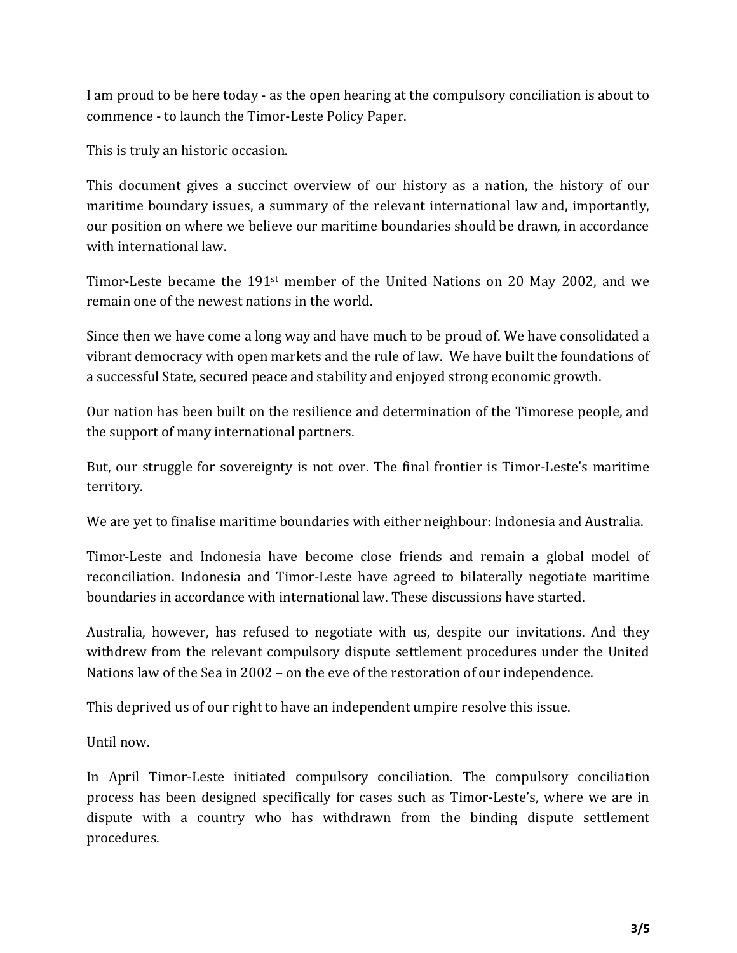I am proud to be here today - as the open hearing at the compulsory conciliation is about to commence - to launch the Timor-Leste Policy Paper.

This is truly an historic occasion.

This document gives a succinct overview of our history as a nation, the history of our maritime boundary issues, a summary of the relevant international law and, importantly, our position on where we believe our maritime boundaries should be drawn, in accordance with international law.

Timor-Leste became the 191st member of the United Nations on 20 May 2002, and we remain one of the newest nations in the world.

Since then we have come a long way and have much to be proud of. We have consolidated a vibrant democracy with open markets and the rule of law. We have built the foundations of a successful State, secured peace and stability and enjoyed strong economic growth.

Our nation has been built on the resilience and determination of the Timorese people, and the support of many international partners.

But, our struggle for sovereignty is not over. The final frontier is Timor-Leste's maritime territory.

We are yet to finalise maritime boundaries with either neighbour: Indonesia and Australia.

Timor-Leste and Indonesia have become close friends and remain a global model of reconciliation. Indonesia and Timor-Leste have agreed to bilaterally negotiate maritime boundaries in accordance with international law. These discussions have started.

Australia, however, has refused to negotiate with us, despite our invitations. And they withdrew from the relevant compulsory dispute settlement procedures under the United Nations law of the Sea in 2002 – on the eve of the restoration of our independence.

This deprived us of our right to have an independent umpire resolve this issue.

Until now.

In April Timor-Leste initiated compulsory conciliation. The compulsory conciliation process has been designed specifically for cases such as Timor-Leste's, where we are in dispute with a country who has withdrawn from the binding dispute settlement procedures.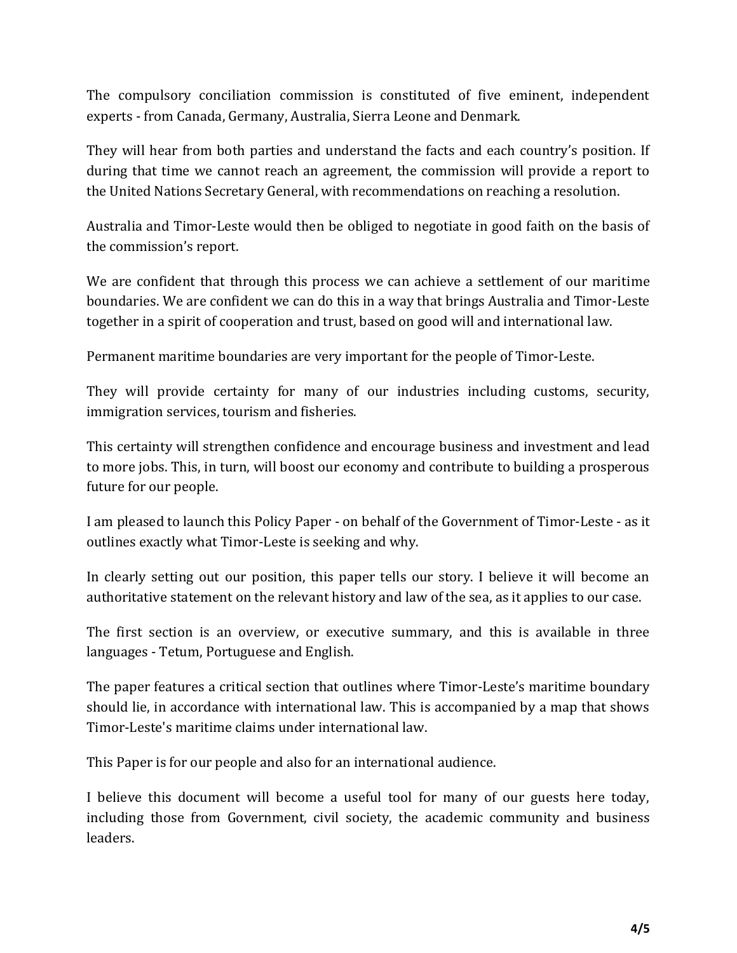The compulsory conciliation commission is constituted of five eminent, independent experts - from Canada, Germany, Australia, Sierra Leone and Denmark.

They will hear from both parties and understand the facts and each country's position. If during that time we cannot reach an agreement, the commission will provide a report to the United Nations Secretary General, with recommendations on reaching a resolution.

Australia and Timor-Leste would then be obliged to negotiate in good faith on the basis of the commission's report.

We are confident that through this process we can achieve a settlement of our maritime boundaries. We are confident we can do this in a way that brings Australia and Timor-Leste together in a spirit of cooperation and trust, based on good will and international law.

Permanent maritime boundaries are very important for the people of Timor-Leste.

They will provide certainty for many of our industries including customs, security, immigration services, tourism and fisheries.

This certainty will strengthen confidence and encourage business and investment and lead to more jobs. This, in turn, will boost our economy and contribute to building a prosperous future for our people.

I am pleased to launch this Policy Paper - on behalf of the Government of Timor-Leste - as it outlines exactly what Timor-Leste is seeking and why.

In clearly setting out our position, this paper tells our story. I believe it will become an authoritative statement on the relevant history and law of the sea, as it applies to our case.

The first section is an overview, or executive summary, and this is available in three languages - Tetum, Portuguese and English.

The paper features a critical section that outlines where Timor-Leste's maritime boundary should lie, in accordance with international law. This is accompanied by a map that shows Timor-Leste's maritime claims under international law.

This Paper is for our people and also for an international audience.

I believe this document will become a useful tool for many of our guests here today, including those from Government, civil society, the academic community and business leaders.